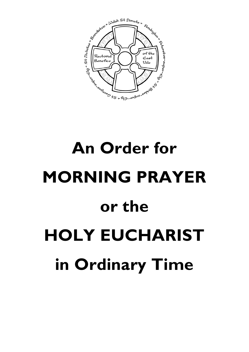

# **An Order for MORNING PRAYER or the HOLY EUCHARIST in Ordinary Time**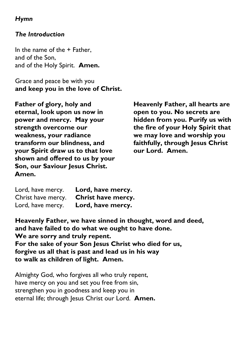## *Hymn*

### *The Introduction*

In the name of the + Father, and of the Son, and of the Holy Spirit. **Amen.**

Grace and peace be with you **and keep you in the love of Christ.**

**Father of glory, holy and eternal, look upon us now in power and mercy. May your strength overcome our weakness, your radiance transform our blindness, and your Spirit draw us to that love shown and offered to us by your Son, our Saviour Jesus Christ. Amen.**

**Heavenly Father, all hearts are open to you. No secrets are hidden from you. Purify us with the fire of your Holy Spirit that we may love and worship you faithfully, through Jesus Christ our Lord. Amen.**

| Lord, have mercy.  | Lord, have mercy.  |
|--------------------|--------------------|
| Christ have mercy. | Christ have mercy. |
| Lord, have mercy.  | Lord, have mercy.  |

**Heavenly Father, we have sinned in thought, word and deed, and have failed to do what we ought to have done. We are sorry and truly repent. For the sake of your Son Jesus Christ who died for us, forgive us all that is past and lead us in his way to walk as children of light. Amen.**

Almighty God, who forgives all who truly repent, have mercy on you and set you free from sin, strengthen you in goodness and keep you in eternal life; through Jesus Christ our Lord. Amen.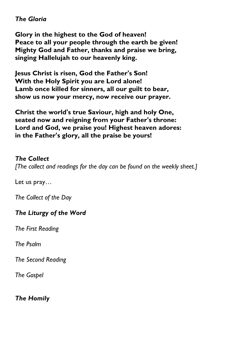### *The Gloria*

**Glory in the highest to the God of heaven! Peace to all your people through the earth be given! Mighty God and Father, thanks and praise we bring, singing Hallelujah to our heavenly king.**

**Jesus Christ is risen, God the Father's Son! With the Holy Spirit you are Lord alone! Lamb once killed for sinners, all our guilt to bear, show us now your mercy, now receive our prayer.**

**Christ the world's true Saviour, high and holy One, seated now and reigning from your Father's throne: Lord and God, we praise you! Highest heaven adores: in the Father's glory, all the praise be yours!**

#### *The Collect*

*[The collect and readings for the day can be found on the weekly sheet.]*

Let us pray…

*The Collect of the Day* 

#### *The Liturgy of the Word*

*The First Reading*

*The Psalm*

*The Second Reading*

*The Gospel*

#### *The Homily*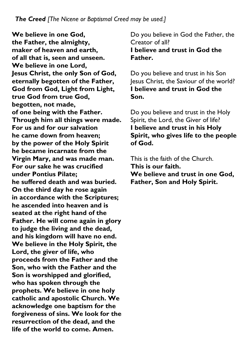**We believe in one God, the Father, the almighty, maker of heaven and earth, of all that is, seen and unseen. We believe in one Lord, Jesus Christ, the only Son of God, eternally begotten of the Father, God from God, Light from Light, true God from true God, begotten, not made, of one being with the Father. Through him all things were made. For us and for our salvation he came down from heaven; by the power of the Holy Spirit he became incarnate from the Virgin Mary, and was made man. For our sake he was crucified under Pontius Pilate; he suffered death and was buried. On the third day he rose again in accordance with the Scriptures; he ascended into heaven and is seated at the right hand of the Father. He will come again in glory to judge the living and the dead, and his kingdom will have no end. We believe in the Holy Spirit, the Lord, the giver of life, who proceeds from the Father and the Son, who with the Father and the Son is worshipped and glorified, who has spoken through the prophets. We believe in one holy catholic and apostolic Church. We acknowledge one baptism for the forgiveness of sins. We look for the resurrection of the dead, and the life of the world to come. Amen.**

Do you believe in God the Father, the Creator of all? **I believe and trust in God the Father.**

Do you believe and trust in his Son Jesus Christ, the Saviour of the world? **I believe and trust in God the Son.**

Do you believe and trust in the Holy Spirit, the Lord, the Giver of life? **I believe and trust in his Holy Spirit, who gives life to the people of God.**

This is the faith of the Church. **This is our faith. We believe and trust in one God, Father, Son and Holy Spirit.**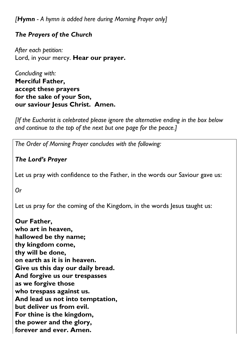*[Hymn - A hymn is added here during Morning Prayer only]*

# *The Prayers of the Church*

*After each petition:* Lord, in your mercy. **Hear our prayer.**

*Concluding with:* **Merciful Father, accept these prayers for the sake of your Son, our saviour Jesus Christ. Amen.**

*[If the Eucharist is celebrated please ignore the alternative ending in the box below and continue to the top of the next but one page for the peace.]*

*The Order of Morning Prayer concludes with the following:*

# *The Lord's Prayer*

Let us pray with confidence to the Father, in the words our Saviour gave us:

*Or*

Let us pray for the coming of the Kingdom, in the words Jesus taught us:

**Our Father, who art in heaven, hallowed be thy name; thy kingdom come, thy will be done, on earth as it is in heaven. Give us this day our daily bread. And forgive us our trespasses as we forgive those who trespass against us. And lead us not into temptation, but deliver us from evil. For thine is the kingdom, the power and the glory, forever and ever. Amen.**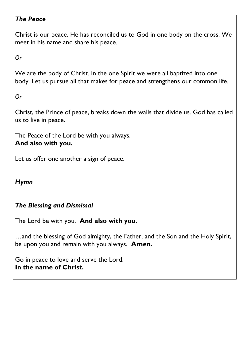# *The Peace*

Christ is our peace. He has reconciled us to God in one body on the cross. We meet in his name and share his peace.

*Or*

We are the body of Christ. In the one Spirit we were all baptized into one body. Let us pursue all that makes for peace and strengthens our common life.

*Or*

Christ, the Prince of peace, breaks down the walls that divide us. God has called us to live in peace.

The Peace of the Lord be with you always. **And also with you.**

Let us offer one another a sign of peace.

*Hymn*

# *The Blessing and Dismissal*

The Lord be with you. **And also with you.**

…and the blessing of God almighty, the Father, and the Son and the Holy Spirit, be upon you and remain with you always. **Amen.**

Go in peace to love and serve the Lord. **In the name of Christ.**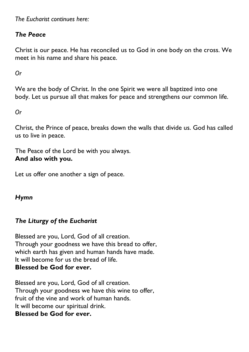*The Eucharist continues here:*

## *The Peace*

Christ is our peace. He has reconciled us to God in one body on the cross. We meet in his name and share his peace.

*Or*

We are the body of Christ. In the one Spirit we were all baptized into one body. Let us pursue all that makes for peace and strengthens our common life.

*Or*

Christ, the Prince of peace, breaks down the walls that divide us. God has called us to live in peace.

The Peace of the Lord be with you always. **And also with you.**

Let us offer one another a sign of peace.

# *Hymn*

## *The Liturgy of the Eucharist*

Blessed are you, Lord, God of all creation. Through your goodness we have this bread to offer, which earth has given and human hands have made. It will become for us the bread of life. **Blessed be God for ever.**

Blessed are you, Lord, God of all creation. Through your goodness we have this wine to offer, fruit of the vine and work of human hands. It will become our spiritual drink. **Blessed be God for ever.**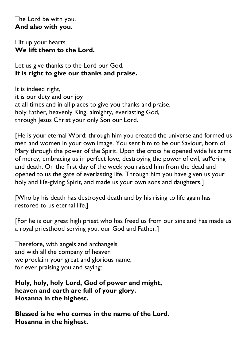The Lord be with you. **And also with you.**

Lift up your hearts. **We lift them to the Lord.**

Let us give thanks to the Lord our God. **It is right to give our thanks and praise.**

It is indeed right, it is our duty and our joy at all times and in all places to give you thanks and praise, holy Father, heavenly King, almighty, everlasting God, through Jesus Christ your only Son our Lord.

[He is your eternal Word: through him you created the universe and formed us men and women in your own image. You sent him to be our Saviour, born of Mary through the power of the Spirit. Upon the cross he opened wide his arms of mercy, embracing us in perfect love, destroying the power of evil, suffering and death. On the first day of the week you raised him from the dead and opened to us the gate of everlasting life. Through him you have given us your holy and life-giving Spirit, and made us your own sons and daughters.]

[Who by his death has destroyed death and by his rising to life again has restored to us eternal life.]

[For he is our great high priest who has freed us from our sins and has made us a royal priesthood serving you, our God and Father.]

Therefore, with angels and archangels and with all the company of heaven we proclaim your great and glorious name, for ever praising you and saying:

**Holy, holy, holy Lord, God of power and might, heaven and earth are full of your glory. Hosanna in the highest.**

**Blessed is he who comes in the name of the Lord. Hosanna in the highest.**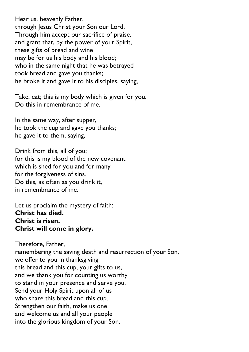Hear us, heavenly Father, through Jesus Christ your Son our Lord. Through him accept our sacrifice of praise, and grant that, by the power of your Spirit, these gifts of bread and wine may be for us his body and his blood; who in the same night that he was betrayed took bread and gave you thanks; he broke it and gave it to his disciples, saying,

Take, eat; this is my body which is given for you. Do this in remembrance of me.

In the same way, after supper, he took the cup and gave you thanks; he gave it to them, saying,

Drink from this, all of you; for this is my blood of the new covenant which is shed for you and for many for the forgiveness of sins. Do this, as often as you drink it, in remembrance of me.

Let us proclaim the mystery of faith: **Christ has died. Christ is risen. Christ will come in glory.**

Therefore, Father, remembering the saving death and resurrection of your Son, we offer to you in thanksgiving this bread and this cup, your gifts to us, and we thank you for counting us worthy to stand in your presence and serve you. Send your Holy Spirit upon all of us who share this bread and this cup. Strengthen our faith, make us one and welcome us and all your people into the glorious kingdom of your Son.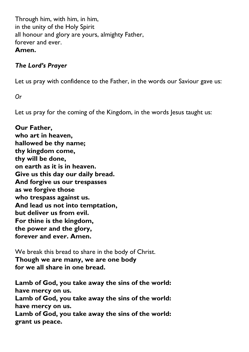Through him, with him, in him, in the unity of the Holy Spirit all honour and glory are yours, almighty Father, forever and ever. **Amen.**

#### *The Lord's Prayer*

Let us pray with confidence to the Father, in the words our Saviour gave us:

*Or*

Let us pray for the coming of the Kingdom, in the words Jesus taught us:

**Our Father, who art in heaven, hallowed be thy name; thy kingdom come, thy will be done, on earth as it is in heaven. Give us this day our daily bread. And forgive us our trespasses as we forgive those who trespass against us. And lead us not into temptation, but deliver us from evil. For thine is the kingdom, the power and the glory, forever and ever. Amen.**

We break this bread to share in the body of Christ. **Though we are many, we are one body for we all share in one bread.**

**Lamb of God, you take away the sins of the world: have mercy on us. Lamb of God, you take away the sins of the world: have mercy on us. Lamb of God, you take away the sins of the world: grant us peace.**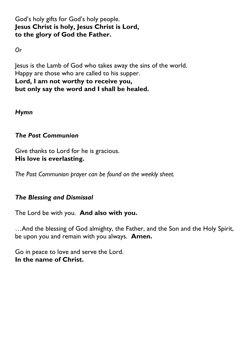God's holy gifts for God's holy people. **Jesus Christ is holy, Jesus Christ is Lord, to the glory of God the Father.** 

*Or* 

Jesus is the Lamb of God who takes away the sins of the world. Happy are those who are called to his supper. **Lord, I am not worthy to receive you, but only say the word and I shall be healed.**

*Hymn*

## *The Post Communion*

Give thanks to Lord for he is gracious. **His love is everlasting.**

*The Post Communion prayer can be found on the weekly sheet.*

## *The Blessing and Dismissal*

The Lord be with you. **And also with you.**

…And the blessing of God almighty, the Father, and the Son and the Holy Spirit, be upon you and remain with you always. **Amen.**

Go in peace to love and serve the Lord. **In the name of Christ.**